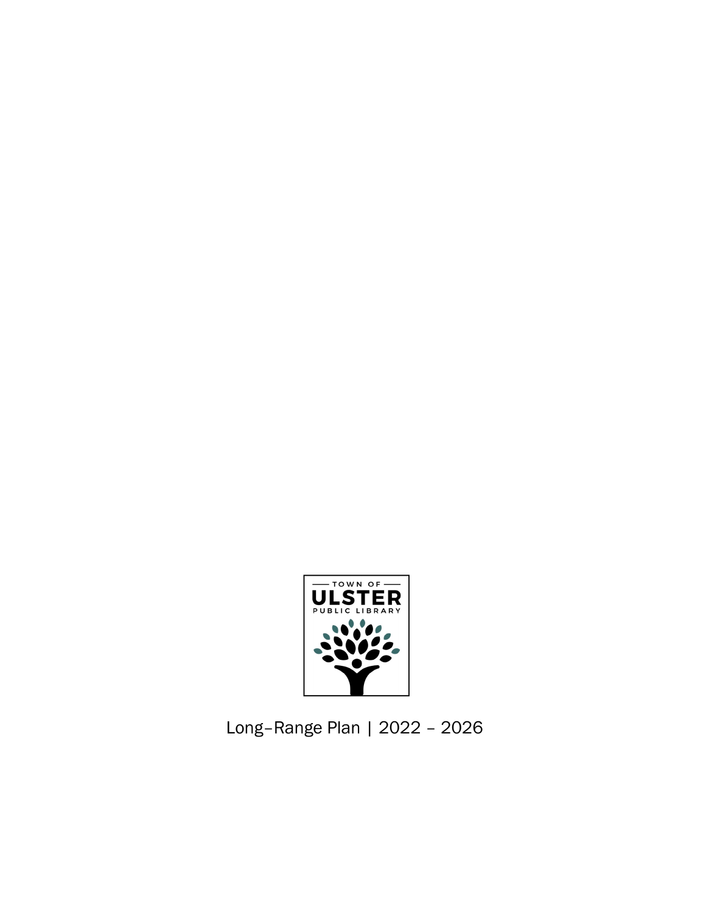

Long–Range Plan | 2022 – 2026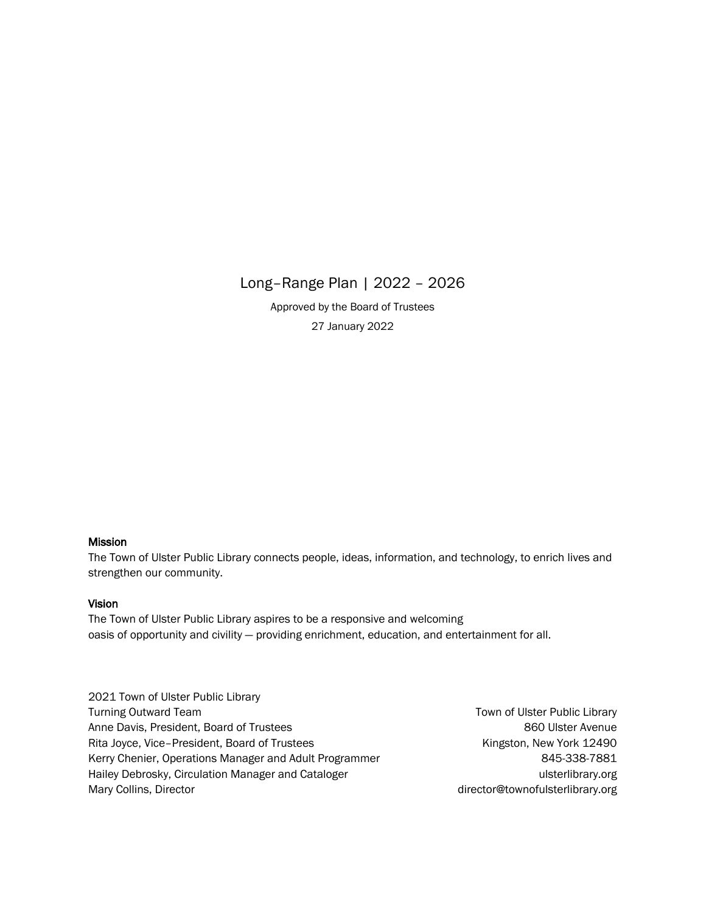# Long–Range Plan | 2022 – 2026

Approved by the Board of Trustees 27 January 2022

## Mission

The Town of Ulster Public Library connects people, ideas, information, and technology, to enrich lives and strengthen our community.

#### Vision

The Town of Ulster Public Library aspires to be a responsive and welcoming oasis of opportunity and civility — providing enrichment, education, and entertainment for all.

| 2021 Town of Ulster Public Library                     |                                  |
|--------------------------------------------------------|----------------------------------|
| <b>Turning Outward Team</b>                            | Town of Ulster Public Library    |
| Anne Davis, President, Board of Trustees               | 860 Ulster Avenue                |
| Rita Joyce, Vice-President, Board of Trustees          | Kingston, New York 12490         |
| Kerry Chenier, Operations Manager and Adult Programmer | 845-338-7881                     |
| Hailey Debrosky, Circulation Manager and Cataloger     | ulsterlibrary.org                |
| Mary Collins, Director                                 | director@townofulsterlibrary.org |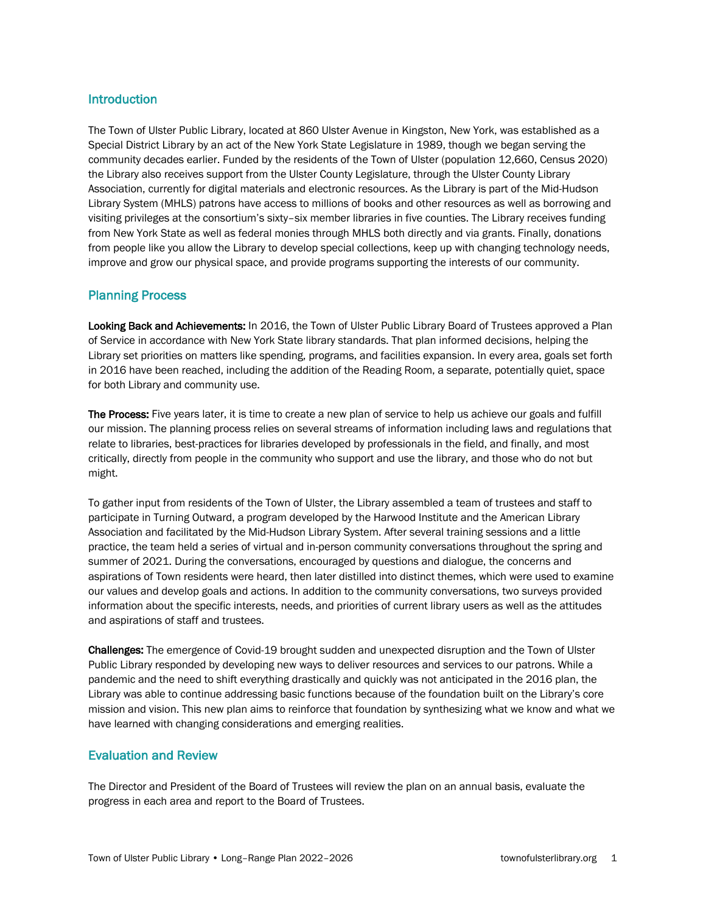## Introduction

The Town of Ulster Public Library, located at 860 Ulster Avenue in Kingston, New York, was established as a Special District Library by an act of the New York State Legislature in 1989, though we began serving the community decades earlier. Funded by the residents of the Town of Ulster (population 12,660, Census 2020) the Library also receives support from the Ulster County Legislature, through the Ulster County Library Association, currently for digital materials and electronic resources. As the Library is part of the Mid-Hudson Library System (MHLS) patrons have access to millions of books and other resources as well as borrowing and visiting privileges at the consortium's sixty–six member libraries in five counties. The Library receives funding from New York State as well as federal monies through MHLS both directly and via grants. Finally, donations from people like you allow the Library to develop special collections, keep up with changing technology needs, improve and grow our physical space, and provide programs supporting the interests of our community.

# Planning Process

Looking Back and Achievements: In 2016, the Town of Ulster Public Library Board of Trustees approved a Plan of Service in accordance with New York State library standards. That plan informed decisions, helping the Library set priorities on matters like spending, programs, and facilities expansion. In every area, goals set forth in 2016 have been reached, including the addition of the Reading Room, a separate, potentially quiet, space for both Library and community use.

The Process: Five years later, it is time to create a new plan of service to help us achieve our goals and fulfill our mission. The planning process relies on several streams of information including laws and regulations that relate to libraries, best-practices for libraries developed by professionals in the field, and finally, and most critically, directly from people in the community who support and use the library, and those who do not but might.

To gather input from residents of the Town of Ulster, the Library assembled a team of trustees and staff to participate in Turning Outward, a program developed by the Harwood Institute and the American Library Association and facilitated by the Mid-Hudson Library System. After several training sessions and a little practice, the team held a series of virtual and in-person community conversations throughout the spring and summer of 2021. During the conversations, encouraged by questions and dialogue, the concerns and aspirations of Town residents were heard, then later distilled into distinct themes, which were used to examine our values and develop goals and actions. In addition to the community conversations, two surveys provided information about the specific interests, needs, and priorities of current library users as well as the attitudes and aspirations of staff and trustees.

Challenges: The emergence of Covid-19 brought sudden and unexpected disruption and the Town of Ulster Public Library responded by developing new ways to deliver resources and services to our patrons. While a pandemic and the need to shift everything drastically and quickly was not anticipated in the 2016 plan, the Library was able to continue addressing basic functions because of the foundation built on the Library's core mission and vision. This new plan aims to reinforce that foundation by synthesizing what we know and what we have learned with changing considerations and emerging realities.

# Evaluation and Review

The Director and President of the Board of Trustees will review the plan on an annual basis, evaluate the progress in each area and report to the Board of Trustees.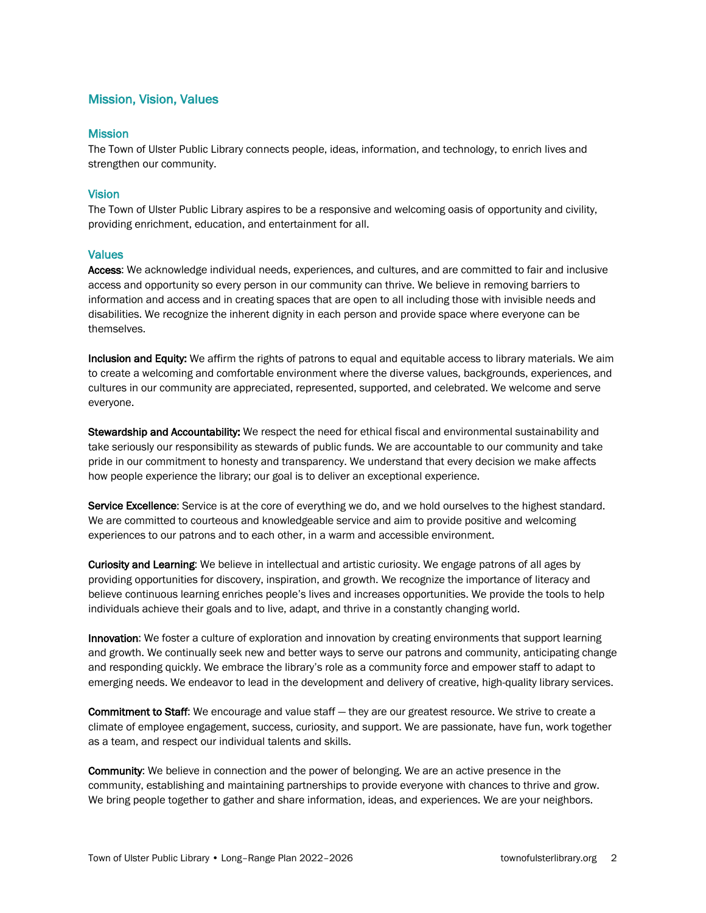# Mission, Vision, Values

#### **Mission**

The Town of Ulster Public Library connects people, ideas, information, and technology, to enrich lives and strengthen our community.

#### Vision

The Town of Ulster Public Library aspires to be a responsive and welcoming oasis of opportunity and civility, providing enrichment, education, and entertainment for all.

#### Values

Access: We acknowledge individual needs, experiences, and cultures, and are committed to fair and inclusive access and opportunity so every person in our community can thrive. We believe in removing barriers to information and access and in creating spaces that are open to all including those with invisible needs and disabilities. We recognize the inherent dignity in each person and provide space where everyone can be themselves.

Inclusion and Equity: We affirm the rights of patrons to equal and equitable access to library materials. We aim to create a welcoming and comfortable environment where the diverse values, backgrounds, experiences, and cultures in our community are appreciated, represented, supported, and celebrated. We welcome and serve everyone.

Stewardship and Accountability: We respect the need for ethical fiscal and environmental sustainability and take seriously our responsibility as stewards of public funds. We are accountable to our community and take pride in our commitment to honesty and transparency. We understand that every decision we make affects how people experience the library; our goal is to deliver an exceptional experience.

Service Excellence: Service is at the core of everything we do, and we hold ourselves to the highest standard. We are committed to courteous and knowledgeable service and aim to provide positive and welcoming experiences to our patrons and to each other, in a warm and accessible environment.

Curiosity and Learning: We believe in intellectual and artistic curiosity. We engage patrons of all ages by providing opportunities for discovery, inspiration, and growth. We recognize the importance of literacy and believe continuous learning enriches people's lives and increases opportunities. We provide the tools to help individuals achieve their goals and to live, adapt, and thrive in a constantly changing world.

Innovation: We foster a culture of exploration and innovation by creating environments that support learning and growth. We continually seek new and better ways to serve our patrons and community, anticipating change and responding quickly. We embrace the library's role as a community force and empower staff to adapt to emerging needs. We endeavor to lead in the development and delivery of creative, high-quality library services.

Commitment to Staff: We encourage and value staff — they are our greatest resource. We strive to create a climate of employee engagement, success, curiosity, and support. We are passionate, have fun, work together as a team, and respect our individual talents and skills.

Community: We believe in connection and the power of belonging. We are an active presence in the community, establishing and maintaining partnerships to provide everyone with chances to thrive and grow. We bring people together to gather and share information, ideas, and experiences. We are your neighbors.